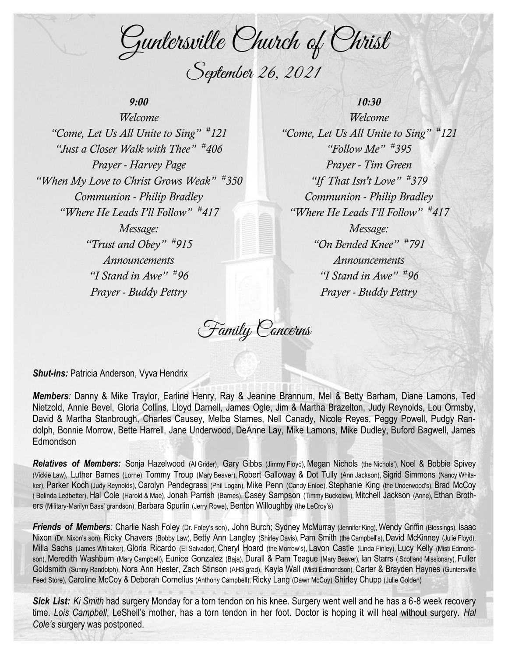Guntersville Church of Christ September 26, 2021

## *9:00*

*Welcome "Come, Let Us All Unite to Sing" # 121 "Just a Closer Walk with Thee" # 406 Prayer - Harvey Page "When My Love to Christ Grows Weak" # 350 Communion - Philip Bradley "Where He Leads I'll Follow" # 417 Message:* 

*"Trust and Obey" # 915 Announcements "I Stand in Awe" # 96 Prayer - Buddy Pettry*

*10:30 Welcome "Come, Let Us All Unite to Sing" # 121 "Follow Me" # 395 Prayer - Tim Green "If That Isn't Love" # 379 Communion - Philip Bradley "Where He Leads I'll Follow" # 417 Message: "On Bended Knee" # 791 Announcements "I Stand in Awe" # 96 Prayer - Buddy Pettry*

Family Concerns

*Shut-ins: Patricia Anderson, Vyva Hendrix* 

*Members:* Danny & Mike Traylor, Earline Henry, Ray & Jeanine Brannum, Mel & Betty Barham, Diane Lamons, Ted Nietzold, Annie Bevel, Gloria Collins, Lloyd Darnell, James Ogle, Jim & Martha Brazelton, Judy Reynolds, Lou Ormsby, David & Martha Stanbrough, Charles Causey, Melba Starnes, Nell Canady, Nicole Reyes, Peggy Powell, Pudgy Randolph, Bonnie Morrow, Bette Harrell, Jane Underwood, DeAnne Lay, Mike Lamons, Mike Dudley, Buford Bagwell, James Edmondson

*Relatives of Members:* Sonja Hazelwood (Al Grider), Gary Gibbs (Jimmy Floyd), Megan Nichols (the Nichols'), Noel & Bobbie Spivey (Vickie Law), Luther Barnes (Lorne), Tommy Troup (Mary Beaver), Robert Galloway & Dot Tully (Ann Jackson), Sigrid Simmons (Nancy Whitaker), Parker Koch (Judy Reynolds), Carolyn Pendegrass (Phil Logan), Mike Penn (Candy Enloe), Stephanie King (the Underwood's), Brad McCoy ( Belinda Ledbetter), Hal Cole (Harold & Mae), Jonah Parrish (Barnes), Casey Sampson (Timmy Buckelew), Mitchell Jackson (Anne), Ethan Brothers (Military-Marilyn Bass' grandson), Barbara Spurlin (Jerry Rowe), Benton Willoughby (the LeCroy's)

**Friends of Members**: Charlie Nash Foley (Dr. Foley's son), John Burch; Sydney McMurray (Jennifer King), Wendy Griffin (Blessings), Isaac Nixon (Dr. Nixon's son), Ricky Chavers (Bobby Law), Betty Ann Langley (Shirley Davis), Pam Smith (the Campbell's), David McKinney (Julie Floyd), Milla Sachs (James Whitaker), Gloria Ricardo (El Salvador), Cheryl Hoard (the Morrow's), Lavon Castle (Linda Finley), Lucy Kelly (Misti Edmondson), Meredith Washburn (Mary Campbell), Eunice Gonzalez (Baja), Durall & Pam Teague (Mary Beaver), lan Starrs (Scotland Missionary), Fuller Goldsmith (Sunny Randolph), Nora Ann Hester, Zach Stinson (AHS grad), Kayla Wall (Misti Edmondson), Carter & Brayden Haynes (Guntersville Feed Store), Caroline McCoy & Deborah Cornelius (Anthony Campbell), Ricky Lang (Dawn McCoy) Shirley Chupp (Julie Golden)

*Sick List: Ki Smith* had surgery Monday for a torn tendon on his knee. Surgery went well and he has a 6-8 week recovery time. *Lois Campbell*, LeShell's mother, has a torn tendon in her foot. Doctor is hoping it will heal without surgery. *Hal Cole's* surgery was postponed.